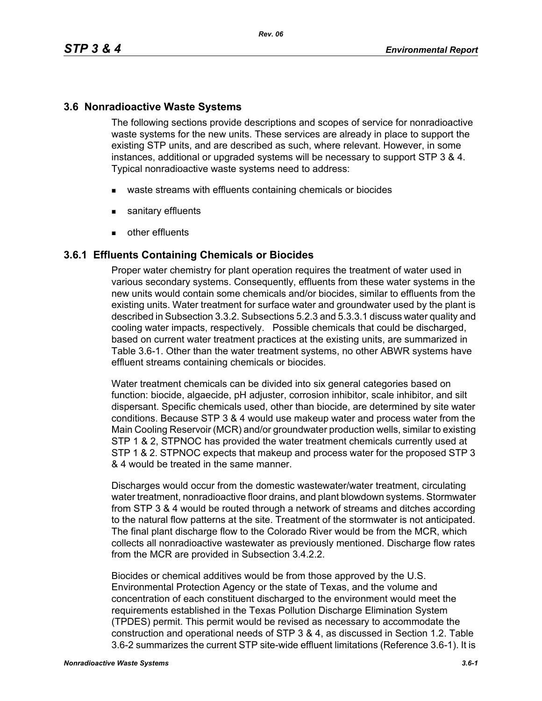## **3.6 Nonradioactive Waste Systems**

The following sections provide descriptions and scopes of service for nonradioactive waste systems for the new units. These services are already in place to support the existing STP units, and are described as such, where relevant. However, in some instances, additional or upgraded systems will be necessary to support STP 3 & 4. Typical nonradioactive waste systems need to address:

- waste streams with effluents containing chemicals or biocides
- sanitary effluents
- **other effluents**

### **3.6.1 Effluents Containing Chemicals or Biocides**

Proper water chemistry for plant operation requires the treatment of water used in various secondary systems. Consequently, effluents from these water systems in the new units would contain some chemicals and/or biocides, similar to effluents from the existing units. Water treatment for surface water and groundwater used by the plant is described in Subsection 3.3.2. Subsections 5.2.3 and 5.3.3.1 discuss water quality and cooling water impacts, respectively. Possible chemicals that could be discharged, based on current water treatment practices at the existing units, are summarized in Table 3.6-1. Other than the water treatment systems, no other ABWR systems have effluent streams containing chemicals or biocides.

Water treatment chemicals can be divided into six general categories based on function: biocide, algaecide, pH adjuster, corrosion inhibitor, scale inhibitor, and silt dispersant. Specific chemicals used, other than biocide, are determined by site water conditions. Because STP 3 & 4 would use makeup water and process water from the Main Cooling Reservoir (MCR) and/or groundwater production wells, similar to existing STP 1 & 2, STPNOC has provided the water treatment chemicals currently used at STP 1 & 2. STPNOC expects that makeup and process water for the proposed STP 3 & 4 would be treated in the same manner.

Discharges would occur from the domestic wastewater/water treatment, circulating water treatment, nonradioactive floor drains, and plant blowdown systems. Stormwater from STP 3 & 4 would be routed through a network of streams and ditches according to the natural flow patterns at the site. Treatment of the stormwater is not anticipated. The final plant discharge flow to the Colorado River would be from the MCR, which collects all nonradioactive wastewater as previously mentioned. Discharge flow rates from the MCR are provided in Subsection 3.4.2.2.

Biocides or chemical additives would be from those approved by the U.S. Environmental Protection Agency or the state of Texas, and the volume and concentration of each constituent discharged to the environment would meet the requirements established in the Texas Pollution Discharge Elimination System (TPDES) permit. This permit would be revised as necessary to accommodate the construction and operational needs of STP 3 & 4, as discussed in Section 1.2. Table 3.6-2 summarizes the current STP site-wide effluent limitations (Reference 3.6-1). It is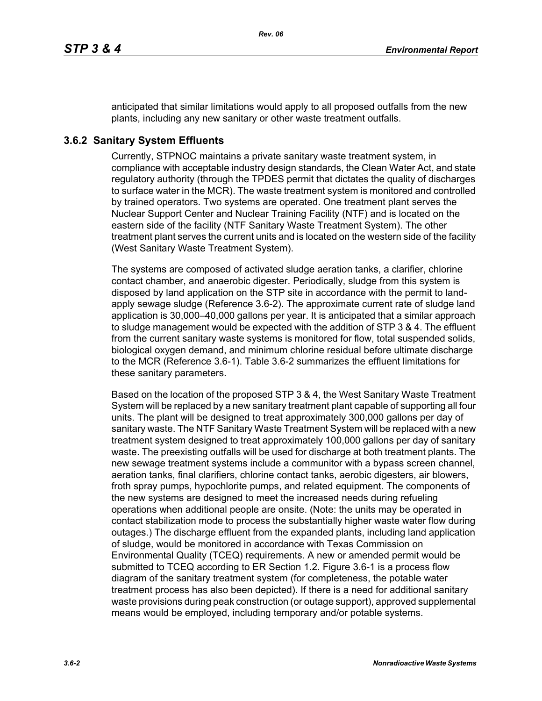anticipated that similar limitations would apply to all proposed outfalls from the new plants, including any new sanitary or other waste treatment outfalls.

### **3.6.2 Sanitary System Effluents**

Currently, STPNOC maintains a private sanitary waste treatment system, in compliance with acceptable industry design standards, the Clean Water Act, and state regulatory authority (through the TPDES permit that dictates the quality of discharges to surface water in the MCR). The waste treatment system is monitored and controlled by trained operators. Two systems are operated. One treatment plant serves the Nuclear Support Center and Nuclear Training Facility (NTF) and is located on the eastern side of the facility (NTF Sanitary Waste Treatment System). The other treatment plant serves the current units and is located on the western side of the facility (West Sanitary Waste Treatment System).

The systems are composed of activated sludge aeration tanks, a clarifier, chlorine contact chamber, and anaerobic digester. Periodically, sludge from this system is disposed by land application on the STP site in accordance with the permit to landapply sewage sludge (Reference 3.6-2). The approximate current rate of sludge land application is 30,000–40,000 gallons per year. It is anticipated that a similar approach to sludge management would be expected with the addition of STP 3 & 4. The effluent from the current sanitary waste systems is monitored for flow, total suspended solids, biological oxygen demand, and minimum chlorine residual before ultimate discharge to the MCR (Reference 3.6-1). Table 3.6-2 summarizes the effluent limitations for these sanitary parameters.

Based on the location of the proposed STP 3 & 4, the West Sanitary Waste Treatment System will be replaced by a new sanitary treatment plant capable of supporting all four units. The plant will be designed to treat approximately 300,000 gallons per day of sanitary waste. The NTF Sanitary Waste Treatment System will be replaced with a new treatment system designed to treat approximately 100,000 gallons per day of sanitary waste. The preexisting outfalls will be used for discharge at both treatment plants. The new sewage treatment systems include a communitor with a bypass screen channel, aeration tanks, final clarifiers, chlorine contact tanks, aerobic digesters, air blowers, froth spray pumps, hypochlorite pumps, and related equipment. The components of the new systems are designed to meet the increased needs during refueling operations when additional people are onsite. (Note: the units may be operated in contact stabilization mode to process the substantially higher waste water flow during outages.) The discharge effluent from the expanded plants, including land application of sludge, would be monitored in accordance with Texas Commission on Environmental Quality (TCEQ) requirements. A new or amended permit would be submitted to TCEQ according to ER Section 1.2. Figure 3.6-1 is a process flow diagram of the sanitary treatment system (for completeness, the potable water treatment process has also been depicted). If there is a need for additional sanitary waste provisions during peak construction (or outage support), approved supplemental means would be employed, including temporary and/or potable systems.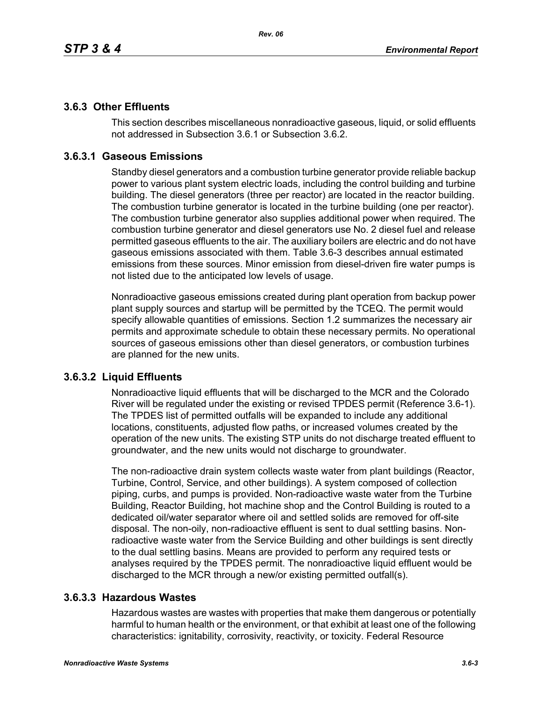# **3.6.3 Other Effluents**

This section describes miscellaneous nonradioactive gaseous, liquid, or solid effluents not addressed in Subsection 3.6.1 or Subsection 3.6.2.

# **3.6.3.1 Gaseous Emissions**

Standby diesel generators and a combustion turbine generator provide reliable backup power to various plant system electric loads, including the control building and turbine building. The diesel generators (three per reactor) are located in the reactor building. The combustion turbine generator is located in the turbine building (one per reactor). The combustion turbine generator also supplies additional power when required. The combustion turbine generator and diesel generators use No. 2 diesel fuel and release permitted gaseous effluents to the air. The auxiliary boilers are electric and do not have gaseous emissions associated with them. Table 3.6-3 describes annual estimated emissions from these sources. Minor emission from diesel-driven fire water pumps is not listed due to the anticipated low levels of usage.

Nonradioactive gaseous emissions created during plant operation from backup power plant supply sources and startup will be permitted by the TCEQ. The permit would specify allowable quantities of emissions. Section 1.2 summarizes the necessary air permits and approximate schedule to obtain these necessary permits. No operational sources of gaseous emissions other than diesel generators, or combustion turbines are planned for the new units.

## **3.6.3.2 Liquid Effluents**

Nonradioactive liquid effluents that will be discharged to the MCR and the Colorado River will be regulated under the existing or revised TPDES permit (Reference 3.6-1). The TPDES list of permitted outfalls will be expanded to include any additional locations, constituents, adjusted flow paths, or increased volumes created by the operation of the new units. The existing STP units do not discharge treated effluent to groundwater, and the new units would not discharge to groundwater.

The non-radioactive drain system collects waste water from plant buildings (Reactor, Turbine, Control, Service, and other buildings). A system composed of collection piping, curbs, and pumps is provided. Non-radioactive waste water from the Turbine Building, Reactor Building, hot machine shop and the Control Building is routed to a dedicated oil/water separator where oil and settled solids are removed for off-site disposal. The non-oily, non-radioactive effluent is sent to dual settling basins. Nonradioactive waste water from the Service Building and other buildings is sent directly to the dual settling basins. Means are provided to perform any required tests or analyses required by the TPDES permit. The nonradioactive liquid effluent would be discharged to the MCR through a new/or existing permitted outfall(s).

## **3.6.3.3 Hazardous Wastes**

Hazardous wastes are wastes with properties that make them dangerous or potentially harmful to human health or the environment, or that exhibit at least one of the following characteristics: ignitability, corrosivity, reactivity, or toxicity. Federal Resource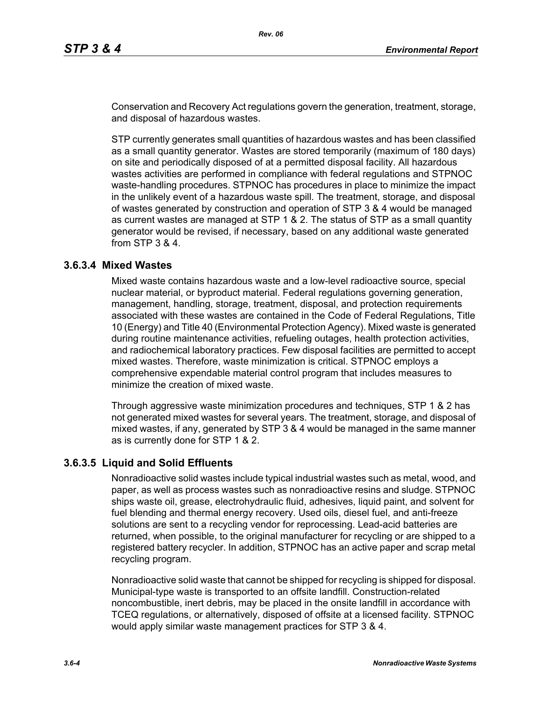Conservation and Recovery Act regulations govern the generation, treatment, storage, and disposal of hazardous wastes.

STP currently generates small quantities of hazardous wastes and has been classified as a small quantity generator. Wastes are stored temporarily (maximum of 180 days) on site and periodically disposed of at a permitted disposal facility. All hazardous wastes activities are performed in compliance with federal regulations and STPNOC waste-handling procedures. STPNOC has procedures in place to minimize the impact in the unlikely event of a hazardous waste spill. The treatment, storage, and disposal of wastes generated by construction and operation of STP 3 & 4 would be managed as current wastes are managed at STP 1 & 2. The status of STP as a small quantity generator would be revised, if necessary, based on any additional waste generated from STP 3 & 4.

#### **3.6.3.4 Mixed Wastes**

Mixed waste contains hazardous waste and a low-level radioactive source, special nuclear material, or byproduct material. Federal regulations governing generation, management, handling, storage, treatment, disposal, and protection requirements associated with these wastes are contained in the Code of Federal Regulations, Title 10 (Energy) and Title 40 (Environmental Protection Agency). Mixed waste is generated during routine maintenance activities, refueling outages, health protection activities, and radiochemical laboratory practices. Few disposal facilities are permitted to accept mixed wastes. Therefore, waste minimization is critical. STPNOC employs a comprehensive expendable material control program that includes measures to minimize the creation of mixed waste.

Through aggressive waste minimization procedures and techniques, STP 1 & 2 has not generated mixed wastes for several years. The treatment, storage, and disposal of mixed wastes, if any, generated by STP 3 & 4 would be managed in the same manner as is currently done for STP 1 & 2.

#### **3.6.3.5 Liquid and Solid Effluents**

Nonradioactive solid wastes include typical industrial wastes such as metal, wood, and paper, as well as process wastes such as nonradioactive resins and sludge. STPNOC ships waste oil, grease, electrohydraulic fluid, adhesives, liquid paint, and solvent for fuel blending and thermal energy recovery. Used oils, diesel fuel, and anti-freeze solutions are sent to a recycling vendor for reprocessing. Lead-acid batteries are returned, when possible, to the original manufacturer for recycling or are shipped to a registered battery recycler. In addition, STPNOC has an active paper and scrap metal recycling program.

Nonradioactive solid waste that cannot be shipped for recycling is shipped for disposal. Municipal-type waste is transported to an offsite landfill. Construction-related noncombustible, inert debris, may be placed in the onsite landfill in accordance with TCEQ regulations, or alternatively, disposed of offsite at a licensed facility. STPNOC would apply similar waste management practices for STP 3 & 4.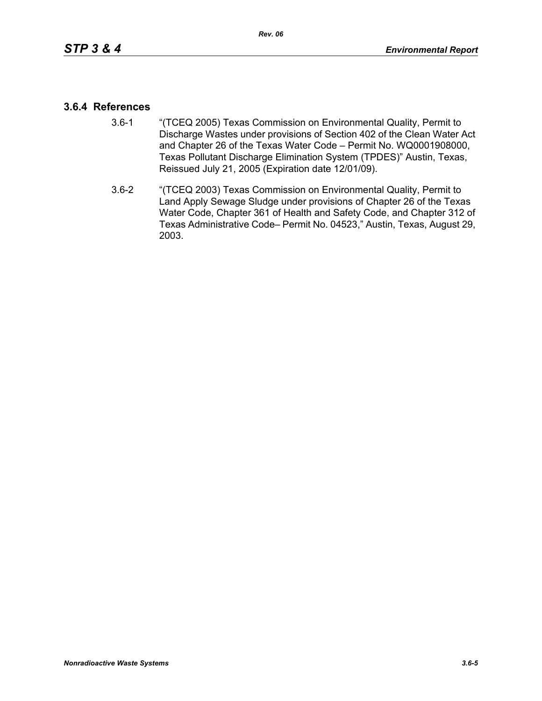### **3.6.4 References**

- 3.6-1 "(TCEQ 2005) Texas Commission on Environmental Quality, Permit to Discharge Wastes under provisions of Section 402 of the Clean Water Act and Chapter 26 of the Texas Water Code – Permit No. WQ0001908000, Texas Pollutant Discharge Elimination System (TPDES)" Austin, Texas, Reissued July 21, 2005 (Expiration date 12/01/09).
- 3.6-2 "(TCEQ 2003) Texas Commission on Environmental Quality, Permit to Land Apply Sewage Sludge under provisions of Chapter 26 of the Texas Water Code, Chapter 361 of Health and Safety Code, and Chapter 312 of Texas Administrative Code– Permit No. 04523," Austin, Texas, August 29, 2003.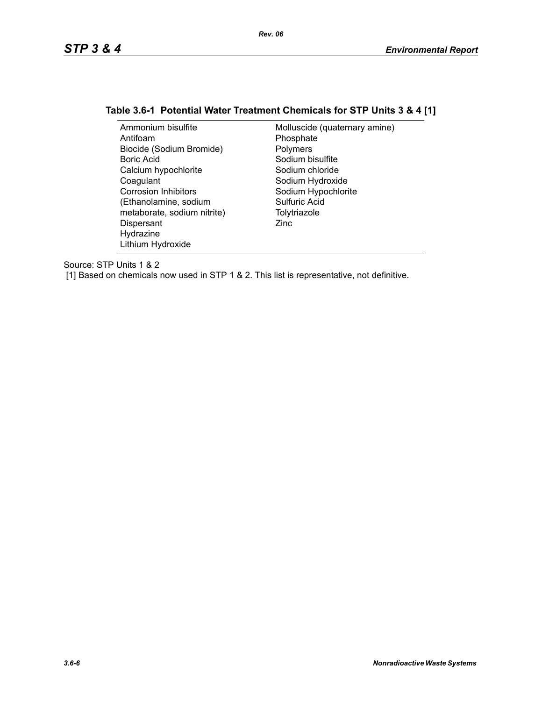# **Table 3.6-1 Potential Water Treatment Chemicals for STP Units 3 & 4 [1]**

| Ammonium bisulfite          | Molluscide (quaternary amine) |
|-----------------------------|-------------------------------|
| Antifoam                    | Phosphate                     |
| Biocide (Sodium Bromide)    | Polymers                      |
| Boric Acid                  | Sodium bisulfite              |
| Calcium hypochlorite        | Sodium chloride               |
| Coagulant                   | Sodium Hydroxide              |
| <b>Corrosion Inhibitors</b> | Sodium Hypochlorite           |
| (Ethanolamine, sodium       | Sulfuric Acid                 |
| metaborate, sodium nitrite) | Tolytriazole                  |
| Dispersant                  | Zinc                          |
| Hydrazine                   |                               |
| Lithium Hydroxide           |                               |

Source: STP Units 1 & 2

[1] Based on chemicals now used in STP 1 & 2. This list is representative, not definitive.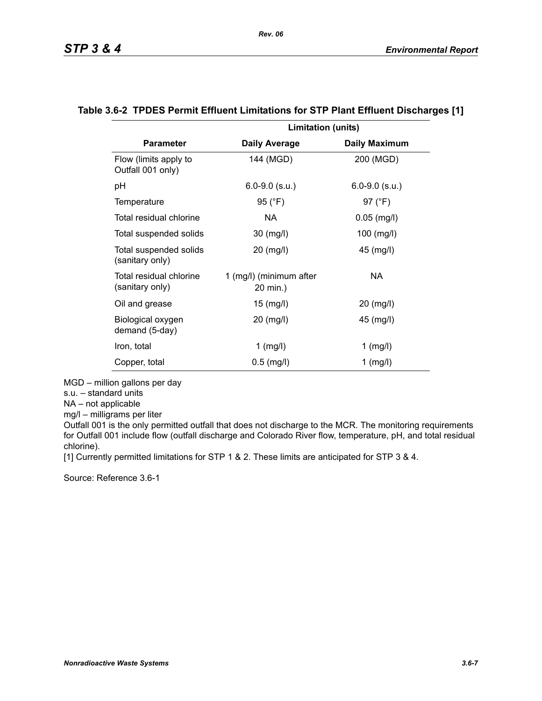|                                            | <b>Limitation (units)</b>           |                      |
|--------------------------------------------|-------------------------------------|----------------------|
| <b>Parameter</b>                           | <b>Daily Average</b>                | <b>Daily Maximum</b> |
| Flow (limits apply to<br>Outfall 001 only) | 144 (MGD)                           | 200 (MGD)            |
| рH                                         | $6.0 - 9.0$ (s.u.)                  | $6.0 - 9.0$ (s.u.)   |
| Temperature                                | 95 (°F)                             | 97 (°F)              |
| Total residual chlorine                    | NA.                                 | $0.05$ (mg/l)        |
| Total suspended solids                     | 30 (mg/l)                           | $100$ (mg/l)         |
| Total suspended solids<br>(sanitary only)  | 20 (mg/l)                           | 45 (mg/l)            |
| Total residual chlorine<br>(sanitary only) | 1 (mg/l) (minimum after<br>20 min.) | NA.                  |
| Oil and grease                             | $15 \ (mg/l)$                       | 20 (mg/l)            |
| Biological oxygen<br>demand (5-day)        | 20 (mg/l)                           | 45 (mg/l)            |
| Iron, total                                | $1$ (mg/l)                          | $1$ (mg/l)           |
| Copper, total                              | $0.5$ (mg/l)                        | $1$ (mg/l)           |

#### **Table 3.6-2 TPDES Permit Effluent Limitations for STP Plant Effluent Discharges [1]**

MGD – million gallons per day

s.u. – standard units

NA – not applicable

mg/l – milligrams per liter

Outfall 001 is the only permitted outfall that does not discharge to the MCR. The monitoring requirements for Outfall 001 include flow (outfall discharge and Colorado River flow, temperature, pH, and total residual chlorine).

[1] Currently permitted limitations for STP 1 & 2. These limits are anticipated for STP 3 & 4.

Source: Reference 3.6-1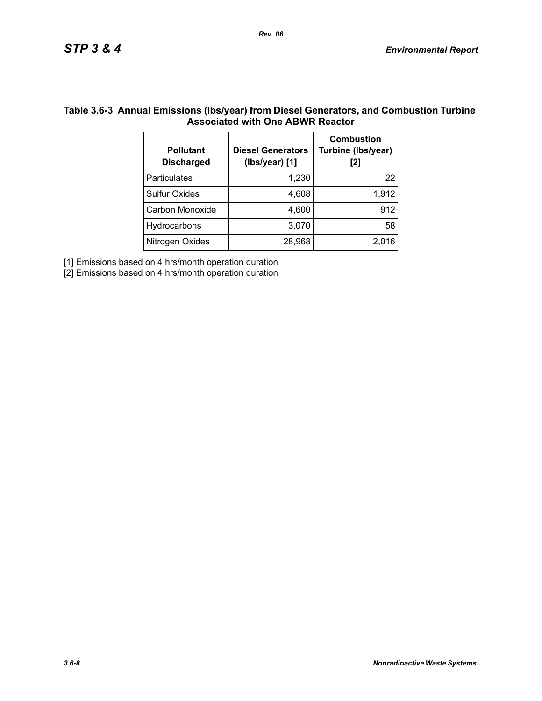## **Table 3.6-3 Annual Emissions (lbs/year) from Diesel Generators, and Combustion Turbine Associated with One ABWR Reactor**

| <b>Pollutant</b><br><b>Discharged</b> | <b>Diesel Generators</b><br>(Ibs/year) [1] | <b>Combustion</b><br>Turbine (Ibs/year)<br>[2] |
|---------------------------------------|--------------------------------------------|------------------------------------------------|
| <b>Particulates</b>                   | 1,230                                      | 22                                             |
| <b>Sulfur Oxides</b>                  | 4,608                                      | 1,912                                          |
| Carbon Monoxide                       | 4,600                                      | 912                                            |
| Hydrocarbons                          | 3,070                                      | 58                                             |
| Nitrogen Oxides                       | 28,968                                     | 2.016                                          |

[1] Emissions based on 4 hrs/month operation duration

[2] Emissions based on 4 hrs/month operation duration